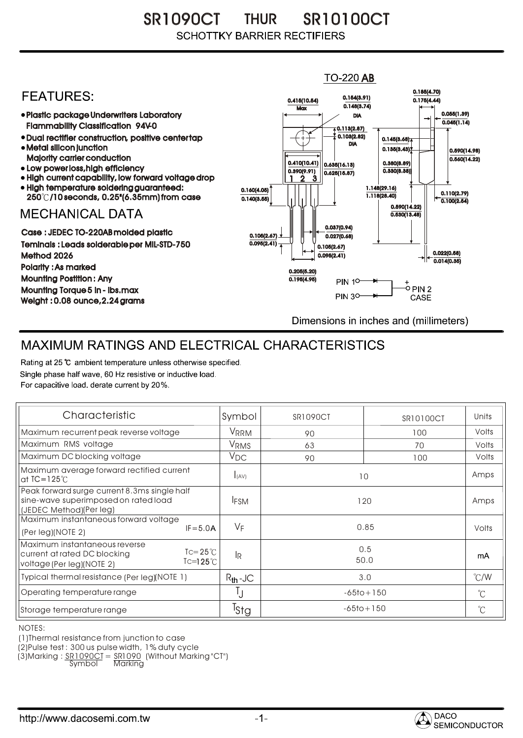SR1090CT THUR SR10100CT **SCHOTTKY BARRIER RECTIFIERS** 

## **TO-220 AB** 0.185(4.70) **FFATURFS:** 0.154(3.91) 0.415(10.54) 0.175(4.44)  $0.148(3.74)$ **Max** Plastic package Underwriters Laboratory 0.055(1.39) DIA  $\overline{0.045(1.14)}$ Flammability Classification 94V-0  $\overline{4}$  0.113(2.87) 0.103(2.82) Dual rectifier construction, positive center tap 0.145(3.68) DIA Metal silicon junction  $0.135(3.43)$ 0.590(14.98) Majority carrier conduction  $0.560(14.22)$ 0.410(10.41) 0.380(8.89) 0.635(16.13) • Low power loss, high efficiency 0.330(8.38)) 0.390(9.91)  $0.625(15.87)$ High current capability, low forward voltage drop 1 3 2High temperature soldering guaranteed: 1.148(29.16) 0.160(4.05) 0.110(2.79) 250 /10 seconds, 0.25"(6.35mm) from case 1.118(28.40) 0.140(3.55)  $\overline{0.100(2.54)}$ 0.590(14.22) **MECHANICAL DATA**  $0.530(13.48)$ 0.037(0.94) Case : JEDEC TO-220AB molded plastic 0.105(2.67)  $0.027(0.68)$ Teminals : Leads solderable per MIL-STD-750  $0.095(2.41)$ 0.105(2.67) 0.022(0.58) Method 2026  $0.095(2.41)$  $0.014(0.35)$ Polarity : As marked 0.205(5.20) Mounting Postition : Any 0.195(4.95) **PIN 10-**+<br>-○ PIN 2 Mounting Torque 5 in - lbs.max **PIN 30-**CASE Weight : 0.08 ounce,2.24 grams Dimensions in inches and (millimeters)

## MAXIMUM RATINGS AND ELECTRICAL CHARACTERISTICS

Rating at 25 °C ambient temperature unless otherwise specified. Single phase half wave, 60 Hz resistive or inductive load. For capacitive load, derate current by 20%.

| Characteristic                                                                                                                               | Symbol                 | <b>SR1090CT</b> | SR10100CT | Units         |
|----------------------------------------------------------------------------------------------------------------------------------------------|------------------------|-----------------|-----------|---------------|
| Maximum recurrent peak reverse voltage                                                                                                       | <b>VRRM</b>            | 90              | 100       | Volts         |
| Maximum RMS voltage                                                                                                                          | <b>V<sub>RMS</sub></b> | 63              | 70        | Volts         |
| Maximum DC blocking voltage                                                                                                                  | $V_{DC}$               | 90              | 100       | Volts         |
| Maximum average forward rectified current<br>at $IC = 125^\circ C$                                                                           | I(AV)                  | 10              |           | Amps          |
| Peak forward surge current 8.3ms single half<br>sine-wave superimposed on rated load<br>(JEDEC Method)(Per leg)                              | <b>IFSM</b>            | 120             |           | Amps          |
| Maximum instantaneous forward voltage<br>$IF = 5.0A$<br>(Per leg)(NOTE 2)                                                                    | $V_F$                  | 0.85            |           | Volts         |
| Maximum instantaneous reverse<br>$\text{I} = 25^{\circ}$ C<br>current at rated DC blocking<br>$Tc=125^\circ C$<br>voltage (Per leg) (NOTE 2) | <sup>I</sup> R         | 0.5<br>50.0     |           | mA            |
| Typical thermal resistance (Per leg)(NOTE 1)                                                                                                 | $R_{th}$ -JC           | 3.0             |           | $\degree$ C/W |
| Operating temperature range                                                                                                                  | IJ                     | $-65$ to + 150  |           | $^{\circ}$ C  |
| Storage temperature range                                                                                                                    | <sup>l</sup> Stg       | $-65$ to + 150  |           | $^{\circ}C$   |

NOTES:

(1)Thermal resistance from junction to case

(2)Pulse test : 300 us pulse width, 1% duty cycle

(3)Marking : <u>SR1090CT</u> = <u>SR1090</u> (Without Marking"CT")

Symbol Marking